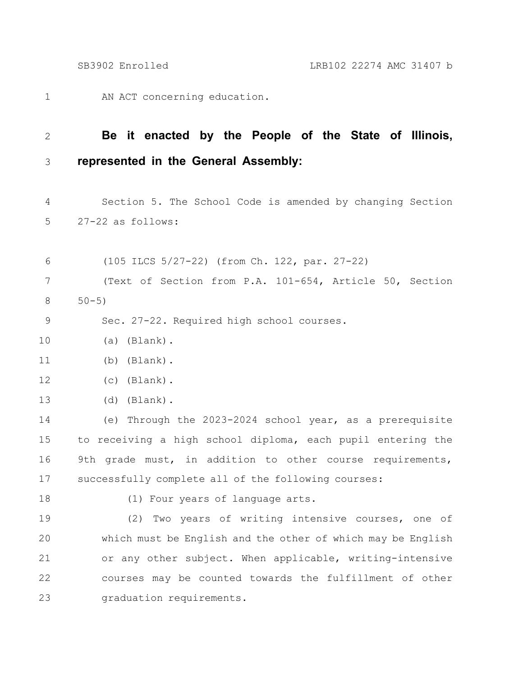AN ACT concerning education. 1

## **Be it enacted by the People of the State of Illinois, represented in the General Assembly:** 2 3

Section 5. The School Code is amended by changing Section 27-22 as follows: 4 5

(105 ILCS 5/27-22) (from Ch. 122, par. 27-22) (Text of Section from P.A. 101-654, Article 50, Section  $50 - 5)$ 6 7 8

Sec. 27-22. Required high school courses. 9

- (a) (Blank). 10
- (b) (Blank). 11
- (c) (Blank). 12
- (d) (Blank). 13

(e) Through the 2023-2024 school year, as a prerequisite to receiving a high school diploma, each pupil entering the 9th grade must, in addition to other course requirements, successfully complete all of the following courses: 14 15 16 17

18

(1) Four years of language arts.

(2) Two years of writing intensive courses, one of which must be English and the other of which may be English or any other subject. When applicable, writing-intensive courses may be counted towards the fulfillment of other graduation requirements. 19 20 21 22 23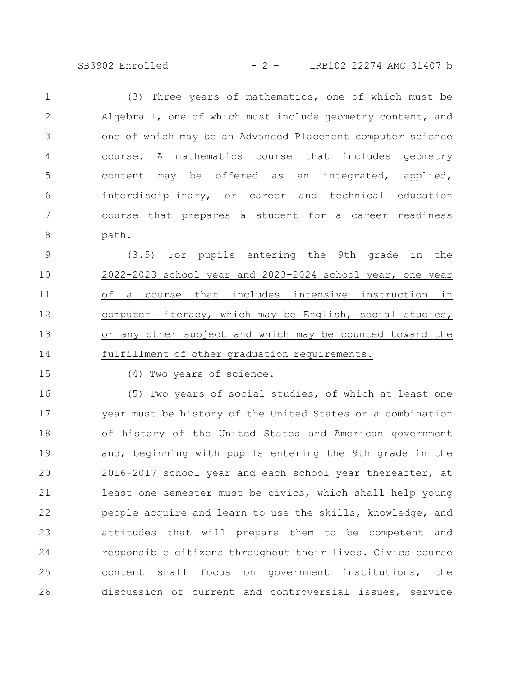SB3902 Enrolled - 2 - LRB102 22274 AMC 31407 b

(3) Three years of mathematics, one of which must be Algebra I, one of which must include geometry content, and one of which may be an Advanced Placement computer science course. A mathematics course that includes geometry content may be offered as an integrated, applied, interdisciplinary, or career and technical education course that prepares a student for a career readiness path. 1 2 3 4 5 6 7 8

(3.5) For pupils entering the 9th grade in the 2022-2023 school year and 2023-2024 school year, one year of a course that includes intensive instruction in computer literacy, which may be English, social studies, or any other subject and which may be counted toward the fulfillment of other graduation requirements. 9 10 11 12 13 14

15

(4) Two years of science.

(5) Two years of social studies, of which at least one year must be history of the United States or a combination of history of the United States and American government and, beginning with pupils entering the 9th grade in the 2016-2017 school year and each school year thereafter, at least one semester must be civics, which shall help young people acquire and learn to use the skills, knowledge, and attitudes that will prepare them to be competent and responsible citizens throughout their lives. Civics course content shall focus on government institutions, the discussion of current and controversial issues, service 16 17 18 19 20 21 22 23 24 25 26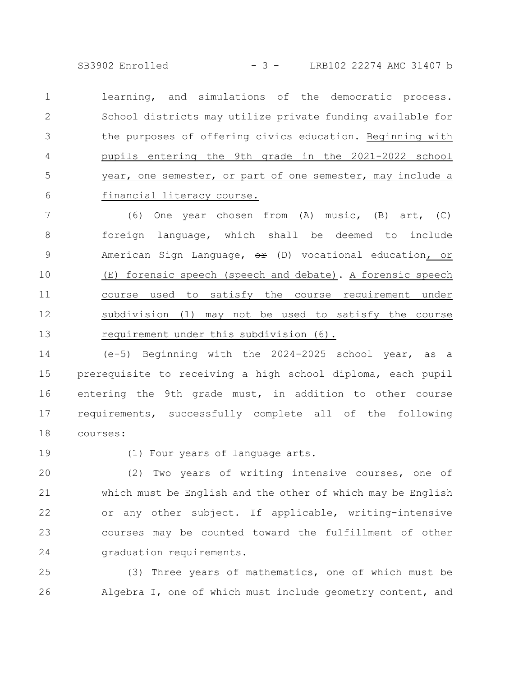SB3902 Enrolled - 3 - LRB102 22274 AMC 31407 b

learning, and simulations of the democratic process. School districts may utilize private funding available for the purposes of offering civics education. Beginning with pupils entering the 9th grade in the 2021-2022 school year, one semester, or part of one semester, may include a financial literacy course. 1 2 3 4 5 6

(6) One year chosen from (A) music, (B) art, (C) foreign language, which shall be deemed to include American Sign Language,  $\Theta$  (D) vocational education, or (E) forensic speech (speech and debate). A forensic speech course used to satisfy the course requirement under subdivision (1) may not be used to satisfy the course requirement under this subdivision (6). 7 8 9 10 11 12 13

(e-5) Beginning with the 2024-2025 school year, as a prerequisite to receiving a high school diploma, each pupil entering the 9th grade must, in addition to other course requirements, successfully complete all of the following courses: 14 15 16 17 18

19

(1) Four years of language arts.

(2) Two years of writing intensive courses, one of which must be English and the other of which may be English or any other subject. If applicable, writing-intensive courses may be counted toward the fulfillment of other graduation requirements. 20 21 22 23 24

(3) Three years of mathematics, one of which must be Algebra I, one of which must include geometry content, and 25 26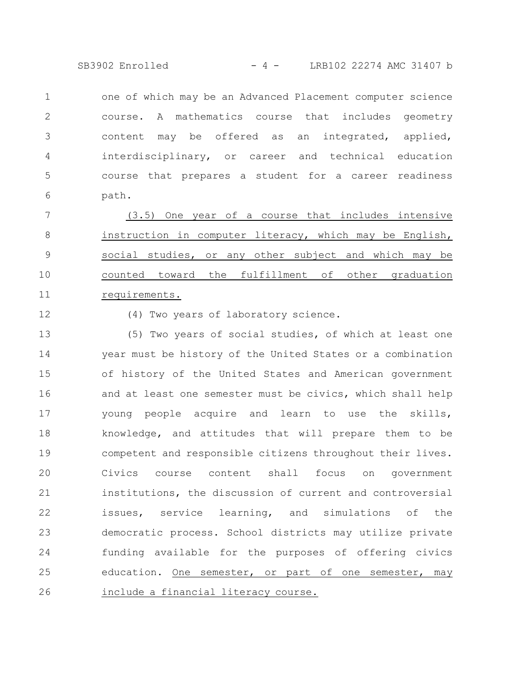SB3902 Enrolled - 4 - LRB102 22274 AMC 31407 b

one of which may be an Advanced Placement computer science course. A mathematics course that includes geometry content may be offered as an integrated, applied, interdisciplinary, or career and technical education course that prepares a student for a career readiness path. 1 2 3 4 5 6

(3.5) One year of a course that includes intensive instruction in computer literacy, which may be English, social studies, or any other subject and which may be counted toward the fulfillment of other graduation requirements. 7 8 9 10 11

12

(4) Two years of laboratory science.

(5) Two years of social studies, of which at least one year must be history of the United States or a combination of history of the United States and American government and at least one semester must be civics, which shall help young people acquire and learn to use the skills, knowledge, and attitudes that will prepare them to be competent and responsible citizens throughout their lives. Civics course content shall focus on government institutions, the discussion of current and controversial issues, service learning, and simulations of the democratic process. School districts may utilize private funding available for the purposes of offering civics education. One semester, or part of one semester, may include a financial literacy course. 13 14 15 16 17 18 19 20 21 22 23 24 25 26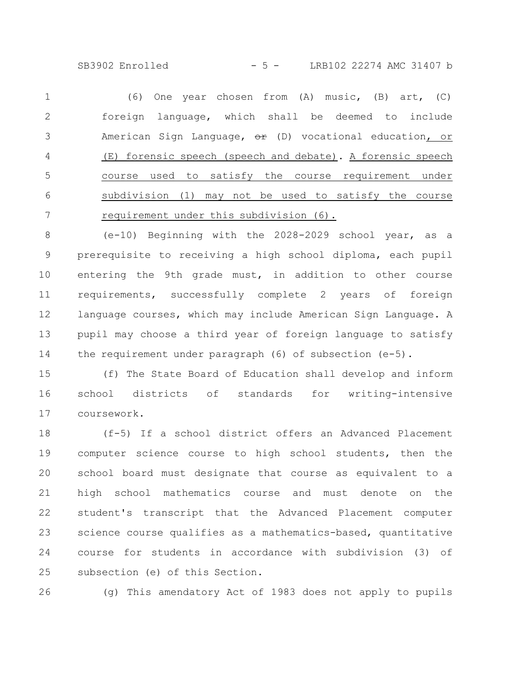SB3902 Enrolled - 5 - LRB102 22274 AMC 31407 b

(6) One year chosen from (A) music, (B) art, (C) foreign language, which shall be deemed to include American Sign Language,  $\Theta$  (D) vocational education, or (E) forensic speech (speech and debate). A forensic speech course used to satisfy the course requirement under subdivision (1) may not be used to satisfy the course requirement under this subdivision (6). 1 2 3 4 5 6 7

(e-10) Beginning with the 2028-2029 school year, as a prerequisite to receiving a high school diploma, each pupil entering the 9th grade must, in addition to other course requirements, successfully complete 2 years of foreign language courses, which may include American Sign Language. A pupil may choose a third year of foreign language to satisfy the requirement under paragraph  $(6)$  of subsection  $(e-5)$ . 8 9 10 11 12 13 14

(f) The State Board of Education shall develop and inform school districts of standards for writing-intensive coursework. 15 16 17

(f-5) If a school district offers an Advanced Placement computer science course to high school students, then the school board must designate that course as equivalent to a high school mathematics course and must denote on the student's transcript that the Advanced Placement computer science course qualifies as a mathematics-based, quantitative course for students in accordance with subdivision (3) of subsection (e) of this Section. 18 19 20 21 22 23 24 25

26

(g) This amendatory Act of 1983 does not apply to pupils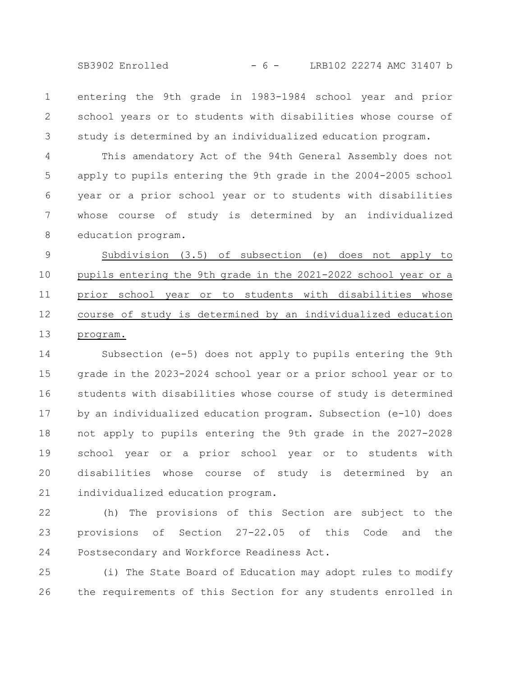SB3902 Enrolled - 6 - LRB102 22274 AMC 31407 b

entering the 9th grade in 1983-1984 school year and prior school years or to students with disabilities whose course of study is determined by an individualized education program. 1 2 3

This amendatory Act of the 94th General Assembly does not apply to pupils entering the 9th grade in the 2004-2005 school year or a prior school year or to students with disabilities whose course of study is determined by an individualized education program. 4 5 6 7 8

Subdivision (3.5) of subsection (e) does not apply to pupils entering the 9th grade in the 2021-2022 school year or a prior school year or to students with disabilities whose course of study is determined by an individualized education program. 9 10 11 12 13

Subsection (e-5) does not apply to pupils entering the 9th grade in the 2023-2024 school year or a prior school year or to students with disabilities whose course of study is determined by an individualized education program. Subsection (e-10) does not apply to pupils entering the 9th grade in the 2027-2028 school year or a prior school year or to students with disabilities whose course of study is determined by an individualized education program. 14 15 16 17 18 19 20 21

(h) The provisions of this Section are subject to the provisions of Section 27-22.05 of this Code and the Postsecondary and Workforce Readiness Act. 22 23 24

(i) The State Board of Education may adopt rules to modify the requirements of this Section for any students enrolled in 25 26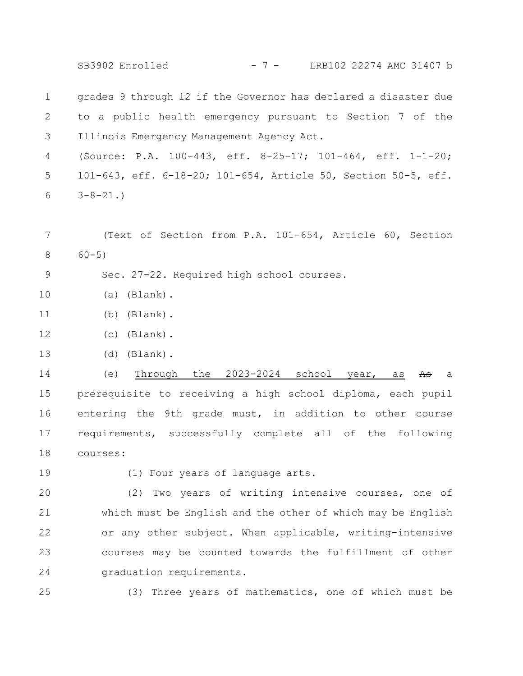SB3902 Enrolled - 7 - LRB102 22274 AMC 31407 b

grades 9 through 12 if the Governor has declared a disaster due to a public health emergency pursuant to Section 7 of the Illinois Emergency Management Agency Act. 1 2 3

(Source: P.A. 100-443, eff. 8-25-17; 101-464, eff. 1-1-20; 101-643, eff. 6-18-20; 101-654, Article 50, Section 50-5, eff.  $3 - 8 - 21.$ 4 5 6

- (Text of Section from P.A. 101-654, Article 60, Section 60-5) 7 8
- Sec. 27-22. Required high school courses. 9
- (a) (Blank). 10
- (b) (Blank). 11
- (c) (Blank). 12
- (d) (Blank). 13

(e) Through the  $2023-2024$  school year, as As a prerequisite to receiving a high school diploma, each pupil entering the 9th grade must, in addition to other course requirements, successfully complete all of the following courses: 14 15 16 17 18

19

(1) Four years of language arts.

(2) Two years of writing intensive courses, one of which must be English and the other of which may be English or any other subject. When applicable, writing-intensive courses may be counted towards the fulfillment of other graduation requirements. 20 21 22 23 24

25

(3) Three years of mathematics, one of which must be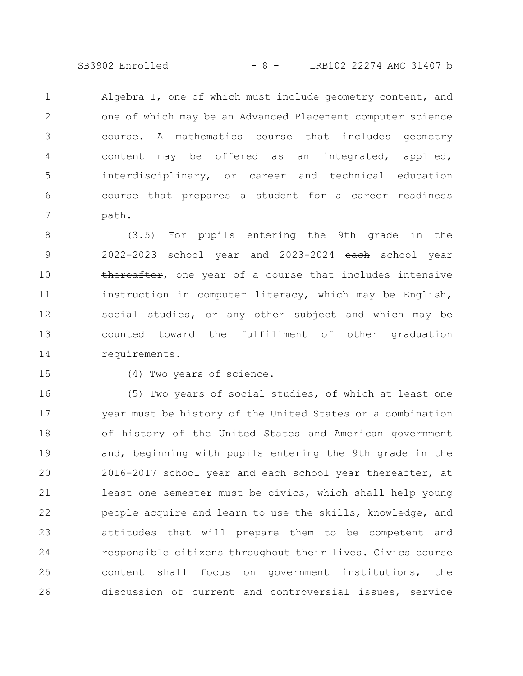SB3902 Enrolled - 8 - LRB102 22274 AMC 31407 b

Algebra I, one of which must include geometry content, and one of which may be an Advanced Placement computer science course. A mathematics course that includes geometry content may be offered as an integrated, applied, interdisciplinary, or career and technical education course that prepares a student for a career readiness path. 1 2 3 4 5 6 7

(3.5) For pupils entering the 9th grade in the 2022-2023 school year and 2023-2024 each school year thereafter, one year of a course that includes intensive instruction in computer literacy, which may be English, social studies, or any other subject and which may be counted toward the fulfillment of other graduation requirements. 8 9 10 11 12 13 14

15

(4) Two years of science.

(5) Two years of social studies, of which at least one year must be history of the United States or a combination of history of the United States and American government and, beginning with pupils entering the 9th grade in the 2016-2017 school year and each school year thereafter, at least one semester must be civics, which shall help young people acquire and learn to use the skills, knowledge, and attitudes that will prepare them to be competent and responsible citizens throughout their lives. Civics course content shall focus on government institutions, the discussion of current and controversial issues, service 16 17 18 19 20 21 22 23 24 25 26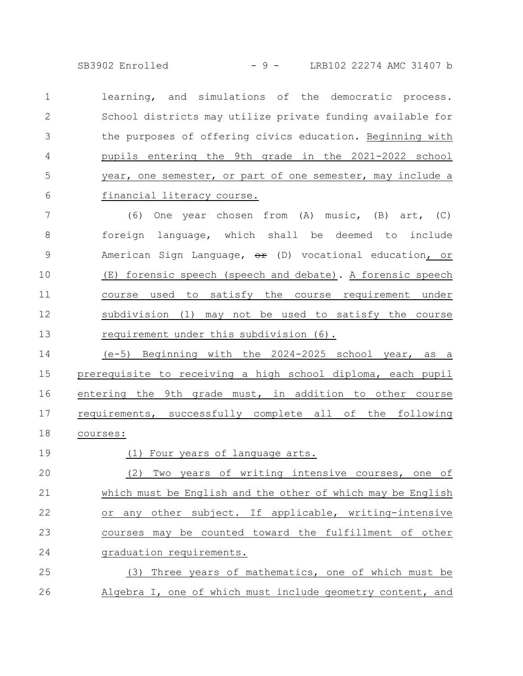SB3902 Enrolled - 9 - LRB102 22274 AMC 31407 b

learning, and simulations of the democratic process. School districts may utilize private funding available for the purposes of offering civics education. Beginning with pupils entering the 9th grade in the 2021-2022 school year, one semester, or part of one semester, may include a financial literacy course. 1 2 3 4 5 6

(6) One year chosen from (A) music, (B) art, (C) foreign language, which shall be deemed to include American Sign Language,  $\Theta$  (D) vocational education, or (E) forensic speech (speech and debate). A forensic speech course used to satisfy the course requirement under subdivision (1) may not be used to satisfy the course requirement under this subdivision (6). 7 8 9 10 11 12 13

(e-5) Beginning with the 2024-2025 school year, as a prerequisite to receiving a high school diploma, each pupil entering the 9th grade must, in addition to other course requirements, successfully complete all of the following courses: 14 15 16 17 18

(1) Four years of language arts. (2) Two years of writing intensive courses, one of which must be English and the other of which may be English or any other subject. If applicable, writing-intensive courses may be counted toward the fulfillment of other graduation requirements. (3) Three years of mathematics, one of which must be 19 20 21 22 23 24 25

Algebra I, one of which must include geometry content, and 26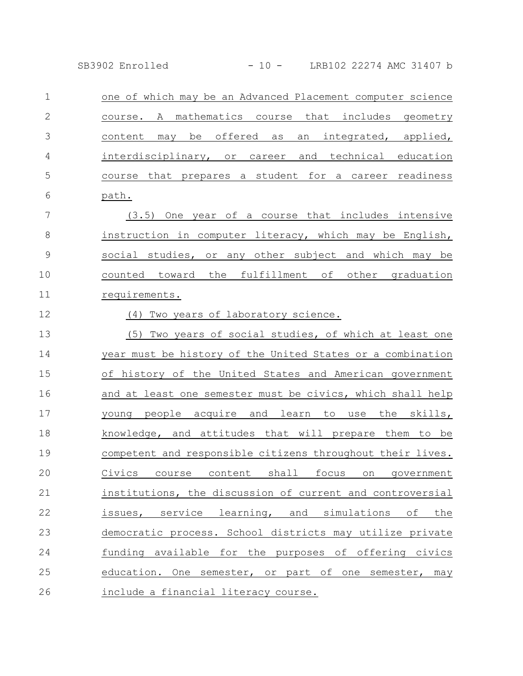SB3902 Enrolled - 10 - LRB102 22274 AMC 31407 b

| $\mathbf 1$    | one of which may be an Advanced Placement computer science         |
|----------------|--------------------------------------------------------------------|
| $\mathbf{2}$   | mathematics course that includes<br>course. A<br>geometry          |
| 3              | content may be offered as<br>an integrated, applied,               |
| $\overline{4}$ | interdisciplinary, or career<br>and technical education            |
| 5              | course that prepares a student for a career readiness              |
| 6              | path.                                                              |
| 7              | One year of a course that includes intensive<br>(3.5)              |
| $\,8\,$        | instruction in computer literacy, which may be English,            |
| $\mathcal{G}$  | social studies, or any other subject and which may be              |
| 10             | counted toward the fulfillment of other graduation                 |
| 11             | requirements.                                                      |
| 12             | (4)<br>Two years of laboratory science.                            |
| 13             | (5)<br>Two years of social studies, of which at least one          |
| 14             | year must be history of the United States or a combination         |
| 15             | of history of the United States and American government            |
| 16             | and at least one semester must be civics, which shall help         |
| 17             | young people acquire and learn to use the skills,                  |
| 18             | knowledge, and attitudes that will prepare them to be              |
| 19             | competent and responsible citizens throughout their lives.         |
| 20             | Civics course content shall focus on government                    |
| 21             | institutions, the discussion of current and controversial          |
| 22             | learning,<br>service<br>and<br>simulations<br>оf<br>the<br>issues, |
| 23             | democratic process. School districts may utilize private           |

funding available for the purposes of offering civics education. One semester, or part of one semester, may include a financial literacy course. 24 25 26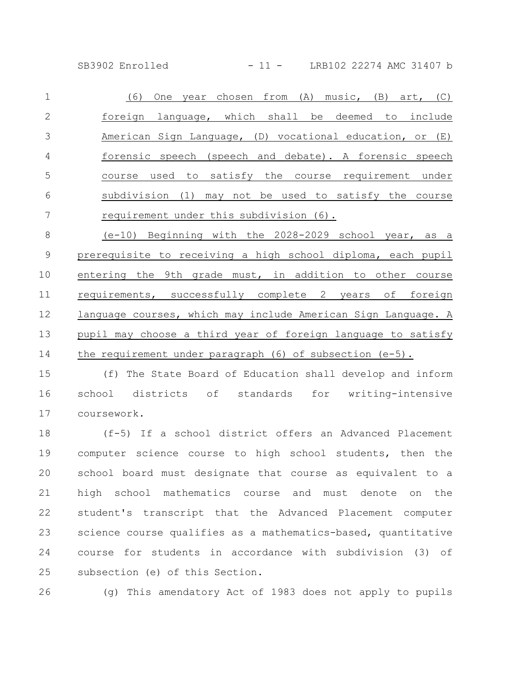SB3902 Enrolled - 11 - LRB102 22274 AMC 31407 b

(6) One year chosen from (A) music, (B) art, (C) foreign language, which shall be deemed to include American Sign Language, (D) vocational education, or (E) forensic speech (speech and debate). A forensic speech course used to satisfy the course requirement under subdivision (1) may not be used to satisfy the course requirement under this subdivision (6). 1 2 3 4 5 6 7

(e-10) Beginning with the 2028-2029 school year, as a prerequisite to receiving a high school diploma, each pupil entering the 9th grade must, in addition to other course requirements, successfully complete 2 years of foreign language courses, which may include American Sign Language. A pupil may choose a third year of foreign language to satisfy the requirement under paragraph  $(6)$  of subsection  $(e-5)$ . 8 9 10 11 12 13 14

(f) The State Board of Education shall develop and inform school districts of standards for writing-intensive coursework. 15 16 17

(f-5) If a school district offers an Advanced Placement computer science course to high school students, then the school board must designate that course as equivalent to a high school mathematics course and must denote on the student's transcript that the Advanced Placement computer science course qualifies as a mathematics-based, quantitative course for students in accordance with subdivision (3) of subsection (e) of this Section. 18 19 20 21 22 23 24 25

26

(g) This amendatory Act of 1983 does not apply to pupils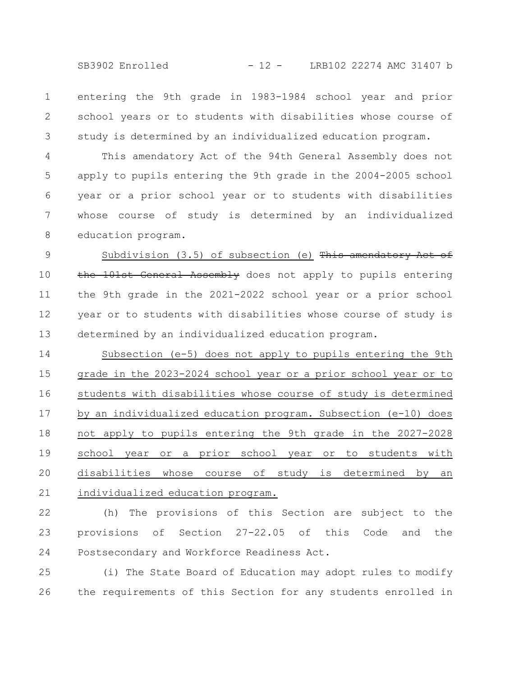SB3902 Enrolled - 12 - LRB102 22274 AMC 31407 b

entering the 9th grade in 1983-1984 school year and prior school years or to students with disabilities whose course of study is determined by an individualized education program. 1 2 3

This amendatory Act of the 94th General Assembly does not apply to pupils entering the 9th grade in the 2004-2005 school year or a prior school year or to students with disabilities whose course of study is determined by an individualized education program. 4 5 6 7 8

Subdivision  $(3.5)$  of subsection (e) This amendatory Act of the 101st General Assembly does not apply to pupils entering the 9th grade in the 2021-2022 school year or a prior school year or to students with disabilities whose course of study is determined by an individualized education program. 9 10 11 12 13

Subsection (e-5) does not apply to pupils entering the 9th grade in the 2023-2024 school year or a prior school year or to students with disabilities whose course of study is determined by an individualized education program. Subsection (e-10) does not apply to pupils entering the 9th grade in the 2027-2028 school year or a prior school year or to students with disabilities whose course of study is determined by an individualized education program. 14 15 16 17 18 19 20 21

(h) The provisions of this Section are subject to the provisions of Section 27-22.05 of this Code and the Postsecondary and Workforce Readiness Act. 22 23 24

(i) The State Board of Education may adopt rules to modify the requirements of this Section for any students enrolled in 25 26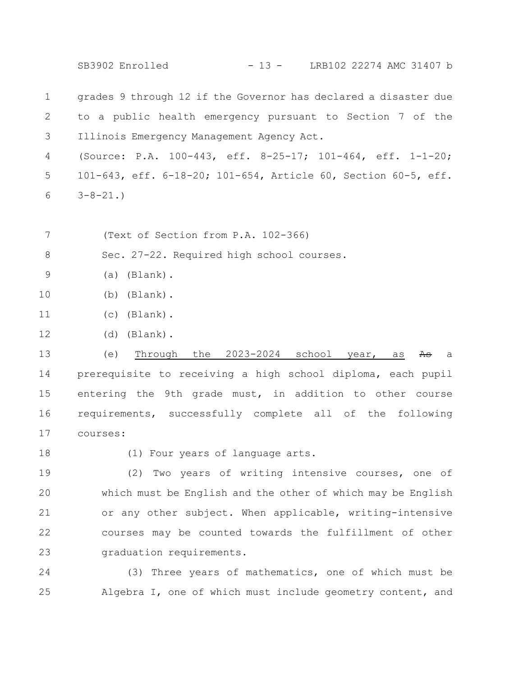SB3902 Enrolled - 13 - LRB102 22274 AMC 31407 b

grades 9 through 12 if the Governor has declared a disaster due to a public health emergency pursuant to Section 7 of the Illinois Emergency Management Agency Act. 1 2 3

(Source: P.A. 100-443, eff. 8-25-17; 101-464, eff. 1-1-20; 101-643, eff. 6-18-20; 101-654, Article 60, Section 60-5, eff.  $3 - 8 - 21.$ 4 5 6

(Text of Section from P.A. 102-366) 7

Sec. 27-22. Required high school courses. 8

- (a) (Blank). 9
- (b) (Blank). 10
- (c) (Blank). 11
- (d) (Blank). 12

(e) Through the  $2023-2024$  school year, as As a prerequisite to receiving a high school diploma, each pupil entering the 9th grade must, in addition to other course requirements, successfully complete all of the following courses: 13 14 15 16 17

18

(1) Four years of language arts.

(2) Two years of writing intensive courses, one of which must be English and the other of which may be English or any other subject. When applicable, writing-intensive courses may be counted towards the fulfillment of other graduation requirements. 19 20 21 22 23

(3) Three years of mathematics, one of which must be Algebra I, one of which must include geometry content, and 24 25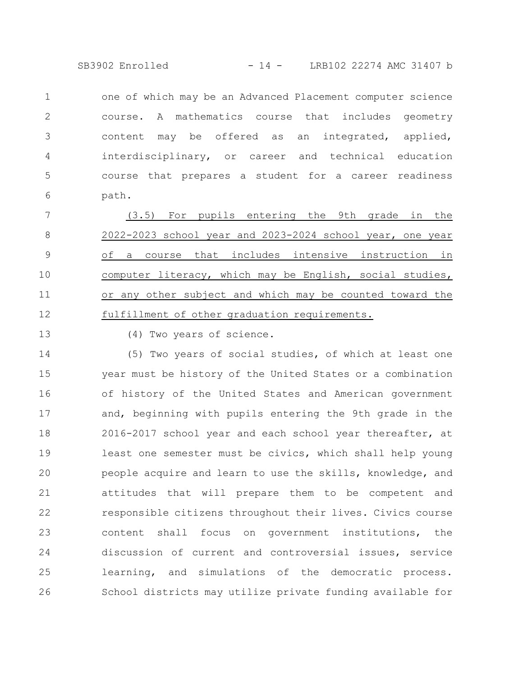SB3902 Enrolled - 14 - LRB102 22274 AMC 31407 b

one of which may be an Advanced Placement computer science course. A mathematics course that includes geometry content may be offered as an integrated, applied, interdisciplinary, or career and technical education course that prepares a student for a career readiness path. 1 2 3 4 5 6

(3.5) For pupils entering the 9th grade in the 2022-2023 school year and 2023-2024 school year, one year of a course that includes intensive instruction in computer literacy, which may be English, social studies, or any other subject and which may be counted toward the fulfillment of other graduation requirements. 7 8 9 10 11 12

13

(4) Two years of science.

(5) Two years of social studies, of which at least one year must be history of the United States or a combination of history of the United States and American government and, beginning with pupils entering the 9th grade in the 2016-2017 school year and each school year thereafter, at least one semester must be civics, which shall help young people acquire and learn to use the skills, knowledge, and attitudes that will prepare them to be competent and responsible citizens throughout their lives. Civics course content shall focus on government institutions, the discussion of current and controversial issues, service learning, and simulations of the democratic process. School districts may utilize private funding available for 14 15 16 17 18 19 20 21 22 23 24 25 26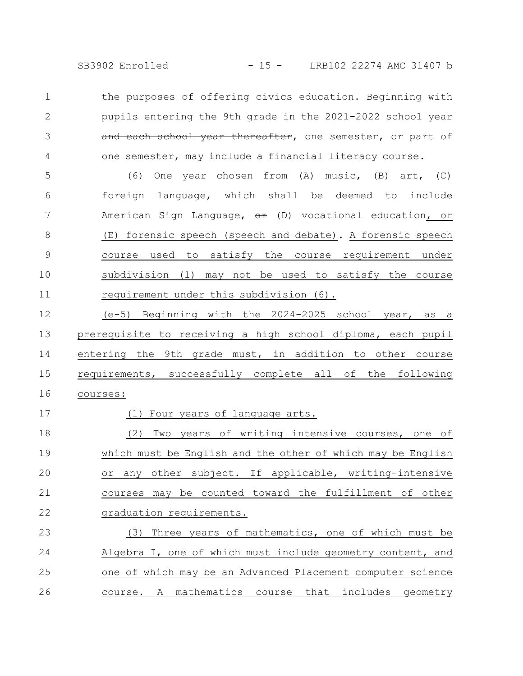SB3902 Enrolled - 15 - LRB102 22274 AMC 31407 b

the purposes of offering civics education. Beginning with pupils entering the 9th grade in the 2021-2022 school year and each school year thereafter, one semester, or part of one semester, may include a financial literacy course. 1 2 3 4

(6) One year chosen from (A) music, (B) art, (C) foreign language, which shall be deemed to include American Sign Language,  $\theta$ <sup>2</sup> (D) vocational education, or (E) forensic speech (speech and debate). A forensic speech course used to satisfy the course requirement under subdivision (1) may not be used to satisfy the course requirement under this subdivision (6). 5 6 7 8 9 10 11

(e-5) Beginning with the 2024-2025 school year, as a prerequisite to receiving a high school diploma, each pupil entering the 9th grade must, in addition to other course requirements, successfully complete all of the following courses: 12 13 14 15 16

(1) Four years of language arts.

17

(2) Two years of writing intensive courses, one of which must be English and the other of which may be English or any other subject. If applicable, writing-intensive courses may be counted toward the fulfillment of other graduation requirements. 18 19 20 21 22

(3) Three years of mathematics, one of which must be Algebra I, one of which must include geometry content, and one of which may be an Advanced Placement computer science course. A mathematics course that includes geometry 23 24 25 26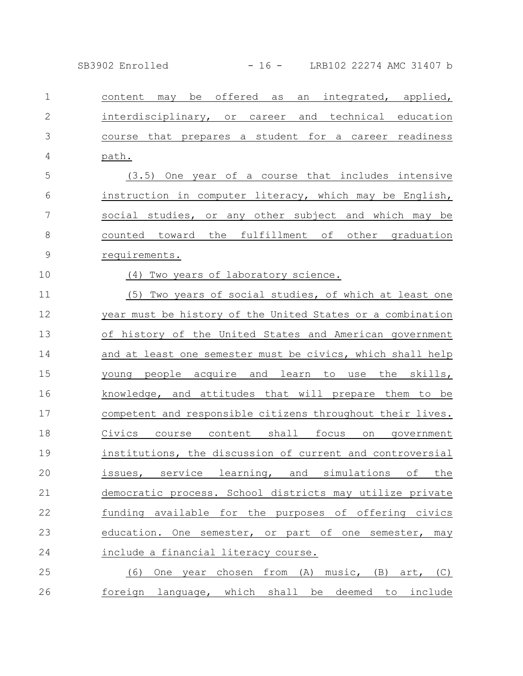SB3902 Enrolled - 16 - LRB102 22274 AMC 31407 b

content may be offered as an integrated, applied, interdisciplinary, or career and technical education course that prepares a student for a career readiness path. (3.5) One year of a course that includes intensive instruction in computer literacy, which may be English, social studies, or any other subject and which may be counted toward the fulfillment of other graduation requirements. (4) Two years of laboratory science. (5) Two years of social studies, of which at least one year must be history of the United States or a combination of history of the United States and American government and at least one semester must be civics, which shall help young people acquire and learn to use the skills, knowledge, and attitudes that will prepare them to be competent and responsible citizens throughout their lives. Civics course content shall focus on government institutions, the discussion of current and controversial issues, service learning, and simulations of the democratic process. School districts may utilize private funding available for the purposes of offering civics education. One semester, or part of one semester, may include a financial literacy course. (6) One year chosen from (A) music, (B) art, (C) foreign language, which shall be deemed to include 1 2 3 4 5 6 7 8 9 10 11 12 13 14 15 16 17 18 19 20 21 22 23 24 25 26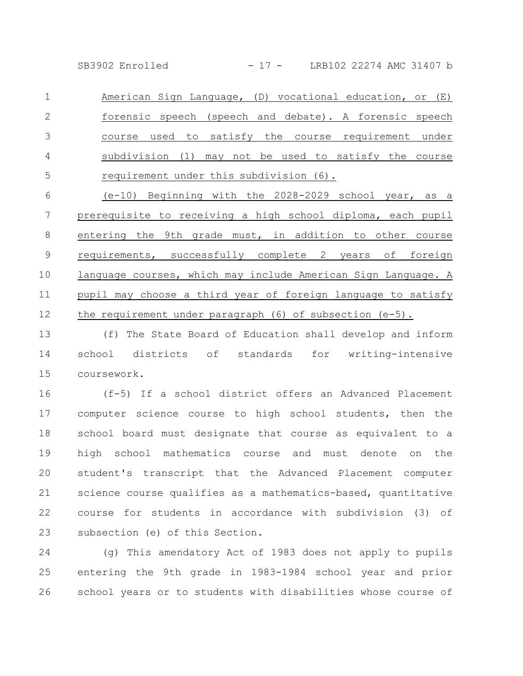SB3902 Enrolled - 17 - LRB102 22274 AMC 31407 b

American Sign Language, (D) vocational education, or (E) forensic speech (speech and debate). A forensic speech course used to satisfy the course requirement under subdivision (1) may not be used to satisfy the course requirement under this subdivision (6). 1 2 3 4 5

(e-10) Beginning with the 2028-2029 school year, as a prerequisite to receiving a high school diploma, each pupil entering the 9th grade must, in addition to other course requirements, successfully complete 2 years of foreign language courses, which may include American Sign Language. A pupil may choose a third year of foreign language to satisfy the requirement under paragraph (6) of subsection (e-5). 6 7 8 9 10 11 12

(f) The State Board of Education shall develop and inform school districts of standards for writing-intensive coursework. 13 14 15

(f-5) If a school district offers an Advanced Placement computer science course to high school students, then the school board must designate that course as equivalent to a high school mathematics course and must denote on the student's transcript that the Advanced Placement computer science course qualifies as a mathematics-based, quantitative course for students in accordance with subdivision (3) of subsection (e) of this Section. 16 17 18 19 20 21 22 23

(g) This amendatory Act of 1983 does not apply to pupils entering the 9th grade in 1983-1984 school year and prior school years or to students with disabilities whose course of 24 25 26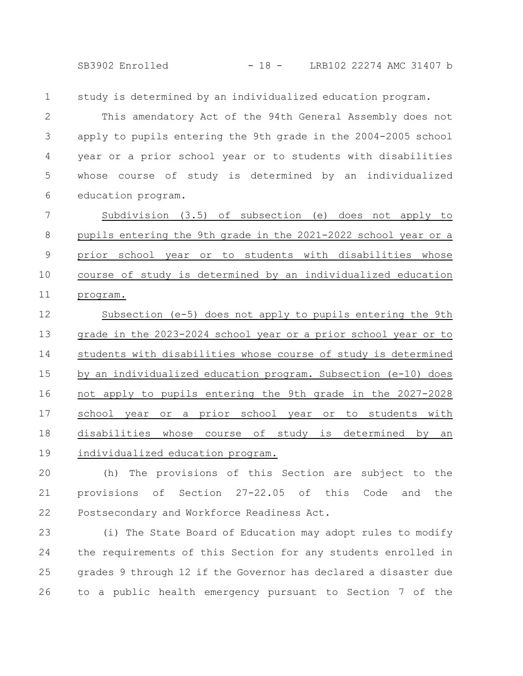SB3902 Enrolled - 18 - LRB102 22274 AMC 31407 b

study is determined by an individualized education program. 1

This amendatory Act of the 94th General Assembly does not apply to pupils entering the 9th grade in the 2004-2005 school year or a prior school year or to students with disabilities whose course of study is determined by an individualized education program. 2 3 4 5 6

Subdivision (3.5) of subsection (e) does not apply to pupils entering the 9th grade in the 2021-2022 school year or a prior school year or to students with disabilities whose course of study is determined by an individualized education program. 7 8 9 10 11

Subsection (e-5) does not apply to pupils entering the 9th grade in the 2023-2024 school year or a prior school year or to students with disabilities whose course of study is determined by an individualized education program. Subsection (e-10) does not apply to pupils entering the 9th grade in the 2027-2028 school year or a prior school year or to students with disabilities whose course of study is determined by an individualized education program. 12 13 14 15 16 17 18 19

(h) The provisions of this Section are subject to the provisions of Section 27-22.05 of this Code and the Postsecondary and Workforce Readiness Act. 20 21 22

(i) The State Board of Education may adopt rules to modify the requirements of this Section for any students enrolled in grades 9 through 12 if the Governor has declared a disaster due to a public health emergency pursuant to Section 7 of the 23 24 25 26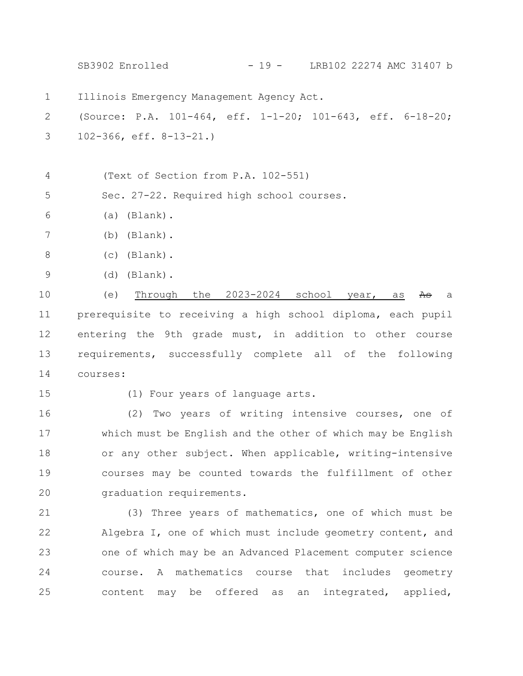Illinois Emergency Management Agency Act. (Source: P.A. 101-464, eff. 1-1-20; 101-643, eff. 6-18-20; 102-366, eff. 8-13-21.) (Text of Section from P.A. 102-551) Sec. 27-22. Required high school courses. (a) (Blank). (b) (Blank). (c) (Blank). (d) (Blank). (e) Through the  $2023-2024$  school year, as  $A\theta$  a prerequisite to receiving a high school diploma, each pupil entering the 9th grade must, in addition to other course requirements, successfully complete all of the following courses: (1) Four years of language arts. (2) Two years of writing intensive courses, one of which must be English and the other of which may be English or any other subject. When applicable, writing-intensive courses may be counted towards the fulfillment of other graduation requirements. (3) Three years of mathematics, one of which must be Algebra I, one of which must include geometry content, and one of which may be an Advanced Placement computer science course. A mathematics course that includes geometry content may be offered as an integrated, applied, 1 2 3 4 5 6 7 8 9 10 11 12 13 14 15 16 17 18 19 20 21 22 23 24 25 SB3902 Enrolled - 19 - LRB102 22274 AMC 31407 b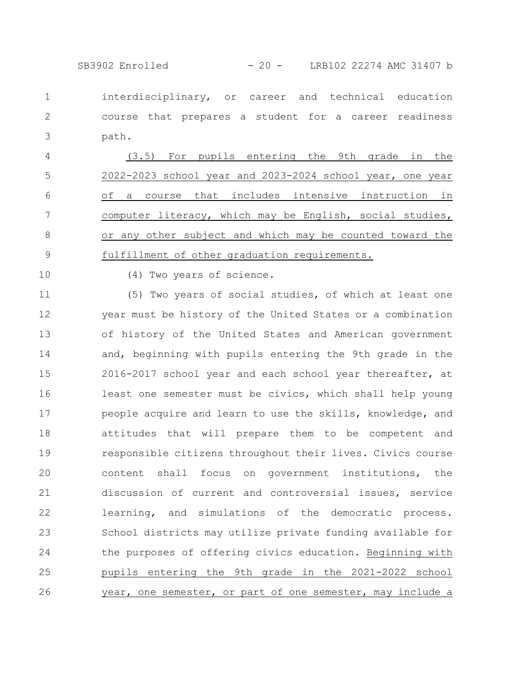SB3902 Enrolled - 20 - LRB102 22274 AMC 31407 b

interdisciplinary, or career and technical education course that prepares a student for a career readiness path. 1 2 3

(3.5) For pupils entering the 9th grade in the 2022-2023 school year and 2023-2024 school year, one year of a course that includes intensive instruction in computer literacy, which may be English, social studies, or any other subject and which may be counted toward the fulfillment of other graduation requirements. 4 5 6 7 8 9

10

(4) Two years of science.

(5) Two years of social studies, of which at least one year must be history of the United States or a combination of history of the United States and American government and, beginning with pupils entering the 9th grade in the 2016-2017 school year and each school year thereafter, at least one semester must be civics, which shall help young people acquire and learn to use the skills, knowledge, and attitudes that will prepare them to be competent and responsible citizens throughout their lives. Civics course content shall focus on government institutions, the discussion of current and controversial issues, service learning, and simulations of the democratic process. School districts may utilize private funding available for the purposes of offering civics education. Beginning with pupils entering the 9th grade in the 2021-2022 school year, one semester, or part of one semester, may include a 11 12 13 14 15 16 17 18 19 20 21 22 23 24 25 26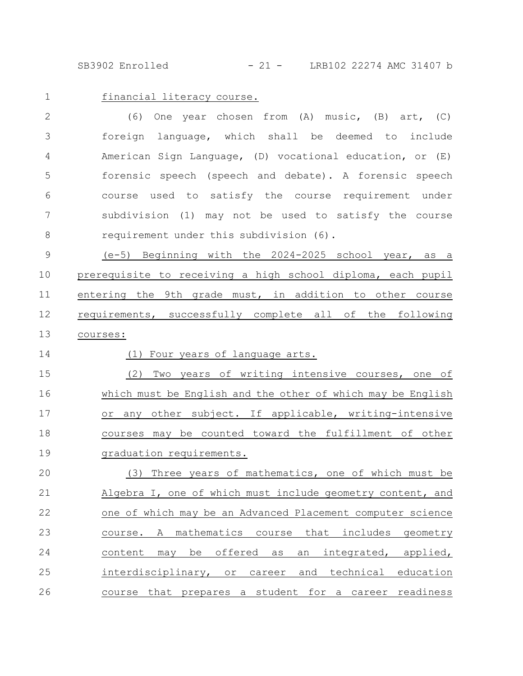SB3902 Enrolled - 21 - LRB102 22274 AMC 31407 b

financial literacy course. 1

(6) One year chosen from (A) music, (B) art, (C) foreign language, which shall be deemed to include American Sign Language, (D) vocational education, or (E) forensic speech (speech and debate). A forensic speech course used to satisfy the course requirement under subdivision (1) may not be used to satisfy the course requirement under this subdivision (6). 2 3 4 5 6 7 8

(e-5) Beginning with the 2024-2025 school year, as a prerequisite to receiving a high school diploma, each pupil entering the 9th grade must, in addition to other course requirements, successfully complete all of the following courses: 9 10 11 12 13

14

(1) Four years of language arts.

(2) Two years of writing intensive courses, one of which must be English and the other of which may be English or any other subject. If applicable, writing-intensive courses may be counted toward the fulfillment of other graduation requirements. 15 16 17 18 19

(3) Three years of mathematics, one of which must be Algebra I, one of which must include geometry content, and one of which may be an Advanced Placement computer science course. A mathematics course that includes geometry content may be offered as an integrated, applied, interdisciplinary, or career and technical education course that prepares a student for a career readiness 20 21 22 23 24 25 26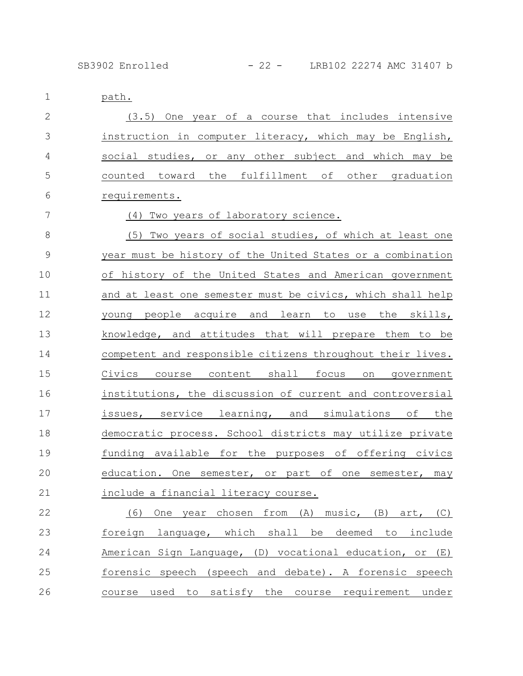path. (3.5) One year of a course that includes intensive instruction in computer literacy, which may be English, social studies, or any other subject and which may be counted toward the fulfillment of other graduation requirements. (4) Two years of laboratory science. (5) Two years of social studies, of which at least one year must be history of the United States or a combination of history of the United States and American government and at least one semester must be civics, which shall help young people acquire and learn to use the skills, knowledge, and attitudes that will prepare them to be competent and responsible citizens throughout their lives. Civics course content shall focus on government institutions, the discussion of current and controversial issues, service learning, and simulations of the democratic process. School districts may utilize private funding available for the purposes of offering civics education. One semester, or part of one semester, may include a financial literacy course. (6) One year chosen from (A) music, (B) art, (C) foreign language, which shall be deemed to include 1 2 3 4 5 6 7 8 9 10 11 12 13 14 15 16 17 18 19 20 21 22 23

American Sign Language, (D) vocational education, or (E) forensic speech (speech and debate). A forensic speech course used to satisfy the course requirement under 24 25 26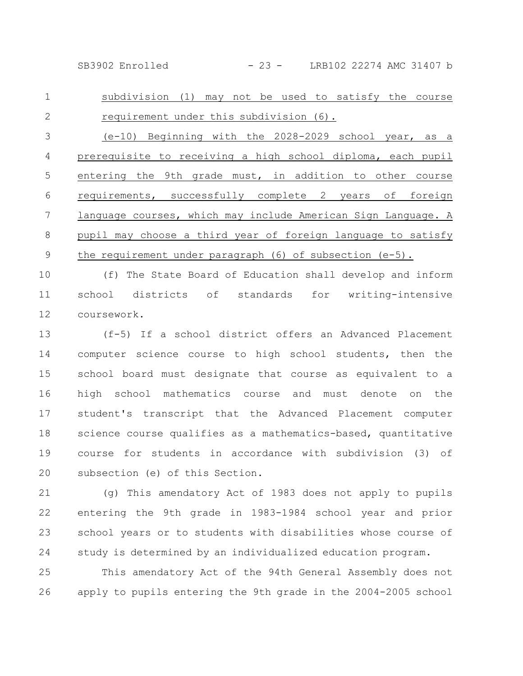SB3902 Enrolled - 23 - LRB102 22274 AMC 31407 b

subdivision (1) may not be used to satisfy the course requirement under this subdivision (6). 1 2

(e-10) Beginning with the 2028-2029 school year, as a prerequisite to receiving a high school diploma, each pupil entering the 9th grade must, in addition to other course requirements, successfully complete 2 years of foreign language courses, which may include American Sign Language. A pupil may choose a third year of foreign language to satisfy the requirement under paragraph  $(6)$  of subsection  $(e-5)$ . 3 4 5 6 7 8 9

(f) The State Board of Education shall develop and inform school districts of standards for writing-intensive coursework. 10 11 12

(f-5) If a school district offers an Advanced Placement computer science course to high school students, then the school board must designate that course as equivalent to a high school mathematics course and must denote on the student's transcript that the Advanced Placement computer science course qualifies as a mathematics-based, quantitative course for students in accordance with subdivision (3) of subsection (e) of this Section. 13 14 15 16 17 18 19 20

(g) This amendatory Act of 1983 does not apply to pupils entering the 9th grade in 1983-1984 school year and prior school years or to students with disabilities whose course of study is determined by an individualized education program. 21 22 23 24

This amendatory Act of the 94th General Assembly does not apply to pupils entering the 9th grade in the 2004-2005 school 25 26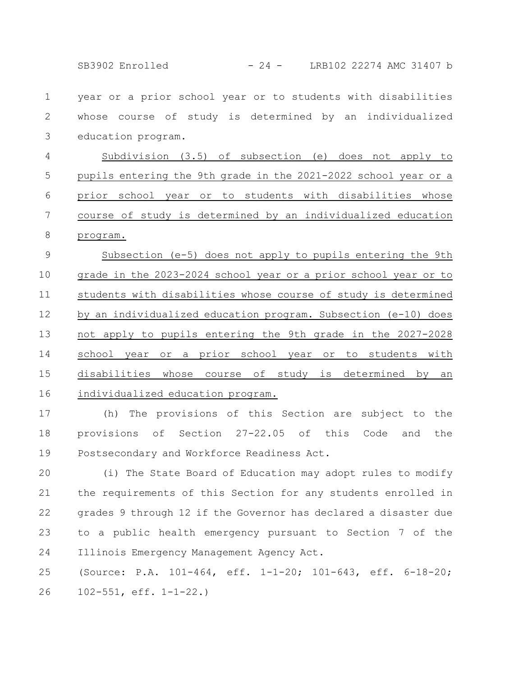SB3902 Enrolled - 24 - LRB102 22274 AMC 31407 b

year or a prior school year or to students with disabilities whose course of study is determined by an individualized education program. 1 2 3

Subdivision (3.5) of subsection (e) does not apply to pupils entering the 9th grade in the 2021-2022 school year or a prior school year or to students with disabilities whose course of study is determined by an individualized education program. 4 5 6 7 8

Subsection (e-5) does not apply to pupils entering the 9th grade in the 2023-2024 school year or a prior school year or to students with disabilities whose course of study is determined by an individualized education program. Subsection (e-10) does not apply to pupils entering the 9th grade in the 2027-2028 school year or a prior school year or to students with disabilities whose course of study is determined by an individualized education program. 9 10 11 12 13 14 15 16

(h) The provisions of this Section are subject to the provisions of Section 27-22.05 of this Code and the Postsecondary and Workforce Readiness Act. 17 18 19

(i) The State Board of Education may adopt rules to modify the requirements of this Section for any students enrolled in grades 9 through 12 if the Governor has declared a disaster due to a public health emergency pursuant to Section 7 of the Illinois Emergency Management Agency Act. 20 21 22 23 24

(Source: P.A. 101-464, eff. 1-1-20; 101-643, eff. 6-18-20; 102-551, eff. 1-1-22.) 25 26